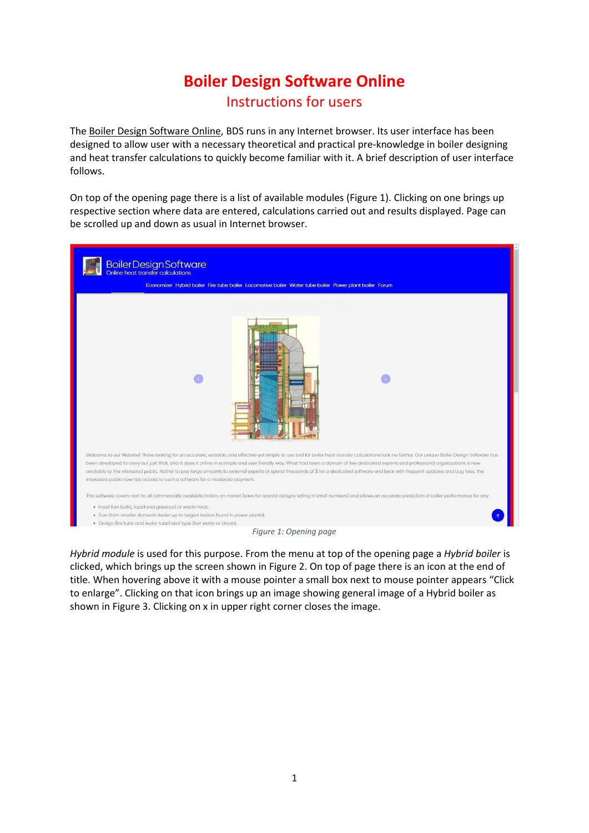## **Boiler Design Software Online**  Instructions for users

The Boiler Design Software Online, BDS runs in any Internet browser. Its user interface has been designed to allow user with a necessary theoretical and practical pre-knowledge in boiler designing and heat transfer calculations to quickly become familiar with it. A brief description of user interface follows.

On top of the opening page there is a list of available modules [\(Figure 1\)](#page-0-0). Clicking on one brings up respective section where data are entered, calculations carried out and results displayed. Page can be scrolled up and down as usual in Internet browser.



<span id="page-0-0"></span>*Hybrid module* is used for this purpose. From the menu at top of the opening page a *Hybrid boiler* is clicked, which brings up the screen shown in [Figure 2.](#page-1-0) On top of page there is an icon at the end of title. When hovering above it with a mouse pointer a small box next to mouse pointer appears "Click to enlarge". Clicking on that icon brings up an image showing general image of a Hybrid boiler as shown i[n Figure 3.](#page-1-1) Clicking on x in upper right corner closes the image.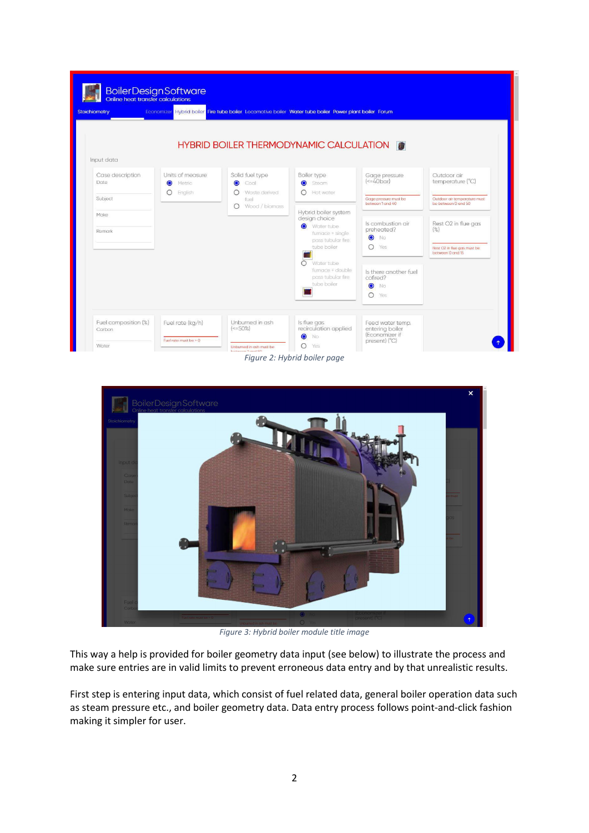|                          |                                         | HYBRID BOILER THERMODYNAMIC CALCULATION <b>FOR A SET AND FOR A SET A</b> |                                           |                                           |                                                     |
|--------------------------|-----------------------------------------|--------------------------------------------------------------------------|-------------------------------------------|-------------------------------------------|-----------------------------------------------------|
| Input data               |                                         |                                                                          |                                           |                                           |                                                     |
| Case description<br>Date | Units of measure<br>Metric<br>$\bullet$ | Solid fuel type<br>$\bullet$<br>Coal                                     | Boiler type<br><b>O</b> Steam             | Gage pressure<br>$(<=40$ bar)             | Outdoor air<br>temperature (°C)                     |
| Subject                  | O English                               | Waste derived<br>$\bigcirc$<br>fuel<br>Wood / biomass<br>∩               | $\bigcap$ Hot water                       | Gage pressure must be<br>between 1 and 40 | Outdoor air temperature must<br>be between 0 and 50 |
| Make                     |                                         |                                                                          | Hybrid boiler system<br>design choice     |                                           |                                                     |
| Remark                   |                                         |                                                                          | Water tube<br>furnace + single            | Is combustion air<br>preheated?           | Rest O2 in flue gas<br>(% )                         |
|                          |                                         |                                                                          | pass tubular fire<br>tube boiler          | <b>O</b> No<br>$O$ Yes                    | Rest 02 in flue gas must be<br>between 0 and 15     |
|                          |                                         |                                                                          | Water tube<br>∩                           |                                           |                                                     |
|                          |                                         |                                                                          | furnace + double<br>pass tubular fire     | Is there another fuel<br>cofired?         |                                                     |
|                          |                                         |                                                                          | tube boiler                               | $\bullet$<br>No                           |                                                     |
|                          |                                         |                                                                          |                                           | $O$ Yes                                   |                                                     |
| Fuel composition (%)     | Fuel rate (kg/h)                        | Unburned in ash                                                          | Is flue gas                               | Feed water temp.                          |                                                     |
| Carbon                   |                                         | $(<=50\%)$                                                               | recirculation applied<br>$\bullet$<br>No. | entering boiler<br>(Economizer if         |                                                     |
|                          | Fuel rate must be $> 0$                 |                                                                          | $\circ$                                   | present) (°C)                             |                                                     |

<span id="page-1-0"></span>

*Figure 3: Hybrid boiler module title image* 

<span id="page-1-1"></span>This way a help is provided for boiler geometry data input (see below) to illustrate the process and make sure entries are in valid limits to prevent erroneous data entry and by that unrealistic results.

First step is entering input data, which consist of fuel related data, general boiler operation data such as steam pressure etc., and boiler geometry data. Data entry process follows point-and-click fashion making it simpler for user.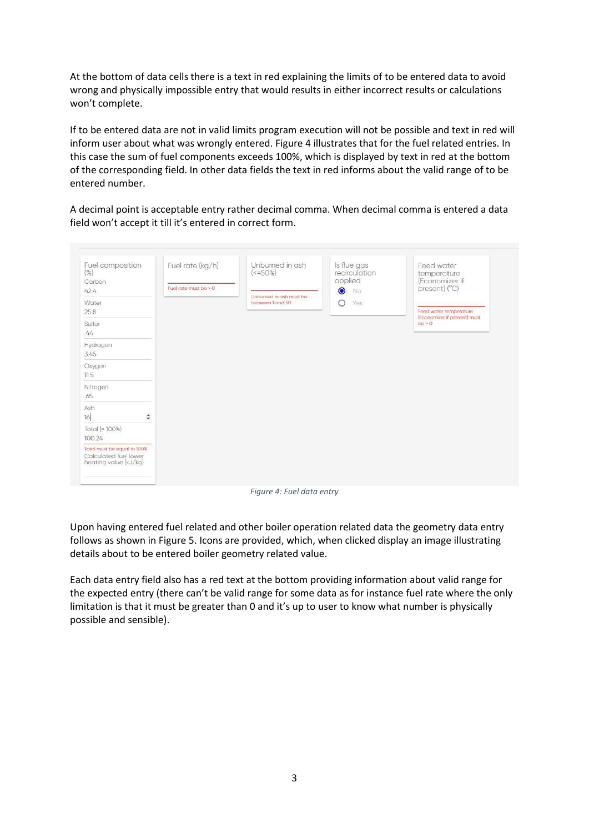At the bottom of data cells there is a text in red explaining the limits of to be entered data to avoid wrong and physically impossible entry that would results in either incorrect results or calculations won't complete.

If to be entered data are not in valid limits program execution will not be possible and text in red will inform user about what was wrongly entered. [Figure 4](#page-2-0) illustrates that for the fuel related entries. In this case the sum of fuel components exceeds 100%, which is displayed by text in red at the bottom of the corresponding field. In other data fields the text in red informs about the valid range of to be entered number.

A decimal point is acceptable entry rather decimal comma. When decimal comma is entered a data field won't accept it till it's entered in correct form.



*Figure 4: Fuel data entry* 

<span id="page-2-0"></span>Upon having entered fuel related and other boiler operation related data the geometry data entry follows as shown in [Figure 5.](#page-3-0) Icons are provided, which, when clicked display an image illustrating details about to be entered boiler geometry related value.

Each data entry field also has a red text at the bottom providing information about valid range for the expected entry (there can't be valid range for some data as for instance fuel rate where the only limitation is that it must be greater than 0 and it's up to user to know what number is physically possible and sensible).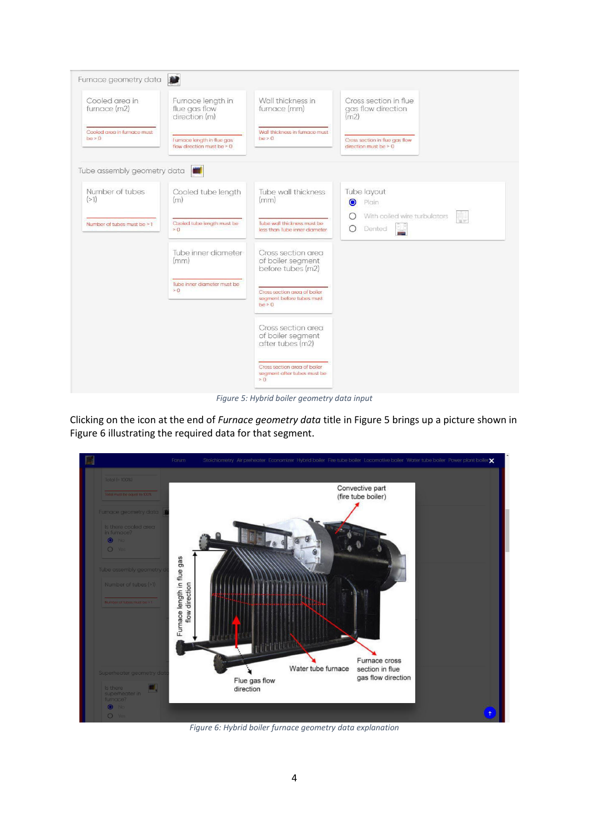

*Figure 5: Hybrid boiler geometry data input* 

<span id="page-3-0"></span>Clicking on the icon at the end of *Furnace geometry data* title in [Figure 5](#page-3-0) brings up a picture shown in [Figure 6](#page-3-1) illustrating the required data for that segment.



<span id="page-3-1"></span>*Figure 6: Hybrid boiler furnace geometry data explanation*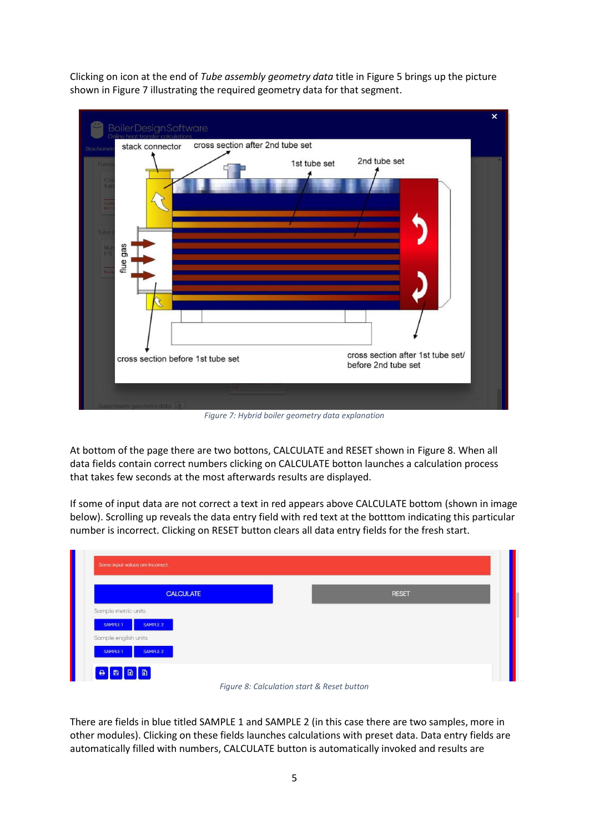Clicking on icon at the end of *Tube assembly geometry data* title i[n Figure 5](#page-3-0) brings up the picture shown i[n Figure 7](#page-4-0) illustrating the required geometry data for that segment.



*Figure 7: Hybrid boiler geometry data explanation* 

<span id="page-4-0"></span>At bottom of the page there are two bottons, CALCULATE and RESET shown in [Figure 8.](#page-4-1) When all data fields contain correct numbers clicking on CALCULATE botton launches a calculation process that takes few seconds at the most afterwards results are displayed.

If some of input data are not correct a text in red appears above CALCULATE bottom (shown in image below). Scrolling up reveals the data entry field with red text at the botttom indicating this particular number is incorrect. Clicking on RESET button clears all data entry fields for the fresh start.

|                      | <b>CALCULATE</b> |  | <b>RESET</b> |  |
|----------------------|------------------|--|--------------|--|
| Sample metric units  |                  |  |              |  |
| SAMPLE 1<br>SAMPLE 2 |                  |  |              |  |
| Sample english units |                  |  |              |  |



<span id="page-4-1"></span>There are fields in blue titled SAMPLE 1 and SAMPLE 2 (in this case there are two samples, more in other modules). Clicking on these fields launches calculations with preset data. Data entry fields are automatically filled with numbers, CALCULATE button is automatically invoked and results are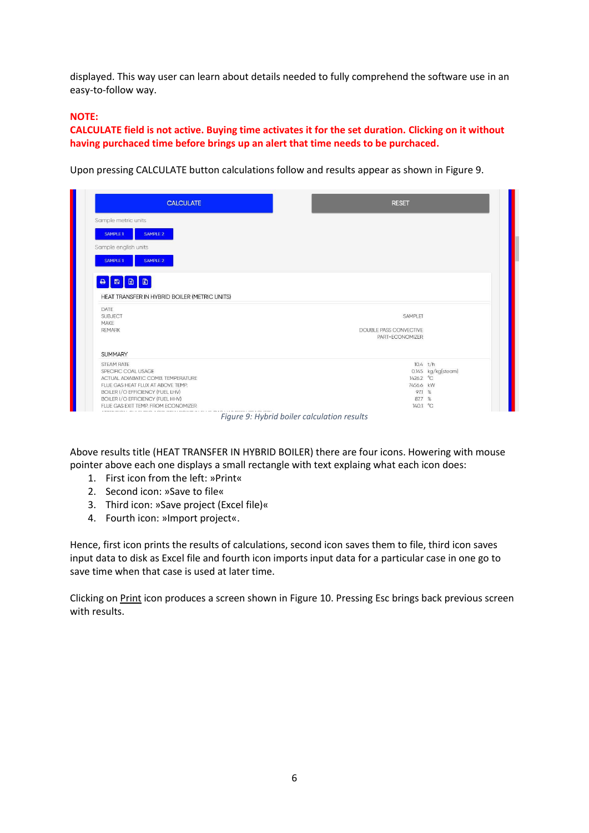displayed. This way user can learn about details needed to fully comprehend the software use in an easy-to-follow way.

## **NOTE:**

**CALCULATE field is not active. Buying time activates it for the set duration. Clicking on it without having purchaced time before brings up an alert that time needs to be purchaced.** 

Upon pressing CALCULATE button calculations follow and results appear as shown i[n Figure 9.](#page-5-0)

| <b>CALCULATE</b>                                                        | <b>RESET</b>                  |                    |
|-------------------------------------------------------------------------|-------------------------------|--------------------|
| Sample metric units                                                     |                               |                    |
| SAMPLE 1<br>SAMPLE 2                                                    |                               |                    |
| Sample english units                                                    |                               |                    |
| SAMPLE 1<br>SAMPLE 2                                                    |                               |                    |
| <b>ADDD</b>                                                             |                               |                    |
|                                                                         |                               |                    |
| HEAT TRANSFER IN HYBRID BOILER (METRIC UNITS)                           |                               |                    |
| <b>DATE</b><br><b>SUBJECT</b>                                           | SAMPLE1                       |                    |
| MAKE                                                                    |                               |                    |
| <b>REMARK</b>                                                           | <b>DOUBLE PASS CONVECTIVE</b> |                    |
|                                                                         | PART+ECONOMIZER               |                    |
| <b>SUMMARY</b>                                                          |                               |                    |
| <b>STEAM RATE</b>                                                       | 10.4 t/h                      |                    |
| SPECIFIC COAL USAGE                                                     |                               | 0.145 kg/kg(steam) |
| ACTUAL ADIABATIC COMB. TEMPERATURE                                      | 1426.2 °C                     |                    |
| FLUE GAS HEAT FLUX AT ABOVE TEMP.                                       | 7456.6 kW                     |                    |
| <b>BOILER I/O EFFICIENCY (FUEL LHV)</b>                                 | 97.1 %                        |                    |
|                                                                         | 87.7 %                        |                    |
| BOILER I/O EFFICIENCY (FUEL HHV)<br>FLUE GAS EXIT TEMP. FROM ECONOMIZER | 140.1 °C                      |                    |

*Figure 9: Hybrid boiler calculation results* 

<span id="page-5-0"></span>Above results title (HEAT TRANSFER IN HYBRID BOILER) there are four icons. Howering with mouse pointer above each one displays a small rectangle with text explaing what each icon does:

- 1. First icon from the left: »Print«
- 2. Second icon: »Save to file«
- 3. Third icon: »Save project (Excel file)«
- 4. Fourth icon: »Import project«.

Hence, first icon prints the results of calculations, second icon saves them to file, third icon saves input data to disk as Excel file and fourth icon imports input data for a particular case in one go to save time when that case is used at later time.

Clicking on Print icon produces a screen shown in [Figure 10.](#page-6-0) Pressing Esc brings back previous screen with results.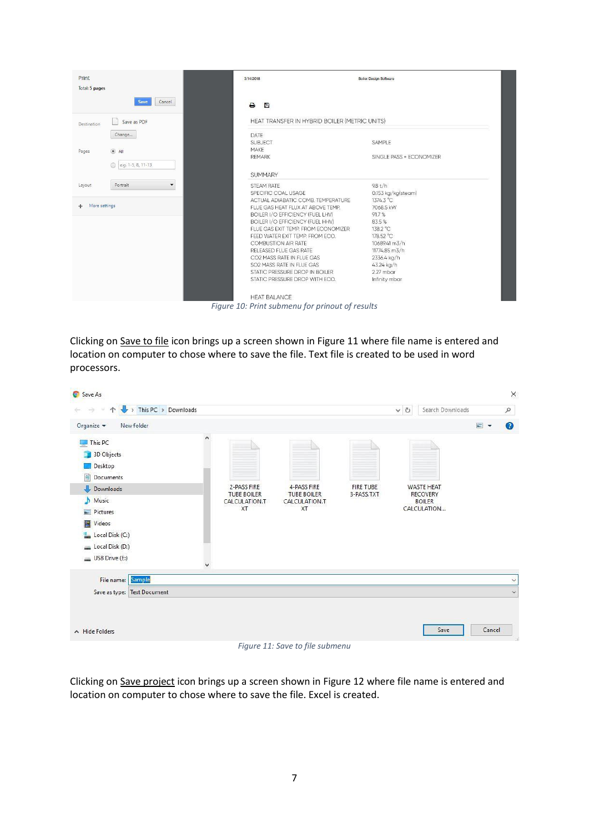| Print<br>Total: 5 pages     | 3/14/2018                                     | <b>Boiler Design Software</b> |
|-----------------------------|-----------------------------------------------|-------------------------------|
| Cancel<br>Save              | $\rightarrow$<br>冎                            |                               |
| Save as PDF<br>Destination  | HEAT TRANSFER IN HYBRID BOILER (METRIC UNITS) |                               |
| Change                      | DATE                                          |                               |
|                             | <b>SUBJECT</b>                                | SAMPLE                        |
| $\circledcirc$ All<br>Pages | MAKE                                          |                               |
| e.g. 1-5, 8, 11-13          | <b>REMARK</b>                                 | SINGLE PASS + ECONOMIZER      |
|                             | <b>SUMMARY</b>                                |                               |
| Portrait<br>Layout          | <b>STEAM RATE</b>                             | 98t/h                         |
|                             | SPECIFIC COAL USAGE                           | 0.153 kg/kg(steam)            |
|                             | ACTUAL ADIABATIC COMB. TEMPERATURE            | 1374.3 °C                     |
| More settings<br>÷          | FLUE GAS HEAT FLUX AT ABOVE TEMP.             | 7068.5 kW                     |
|                             | <b>BOILER I/O EFFICIENCY (FUEL LHV)</b>       | 91.7%                         |
|                             | BOILER I/O EFFICIENCY (FUEL HHV)              | 83.5%                         |
|                             | FLUE GAS EXIT TEMP. FROM ECONOMIZER           | 138.2 °C                      |
|                             | FEED WATER EXIT TEMP. FROM ECO.               | 178.52 °C                     |
|                             | <b>COMBUSTION AIR RATE</b>                    | 10689.41 m3/h                 |
|                             | RELEASED FLUE GAS RATE                        | 11774.85 m3/h                 |
|                             | CO2 MASS RATE IN FLUE GAS                     | 2336.4 kg/h                   |
|                             | SO2 MASS RATE IN FLUE GAS                     | 43.24 kg/h                    |
|                             | STATIC PRESSURE DROP IN BOILER                | 2.27 mbar                     |
|                             | STATIC PRESSURE DROP WITH ECO.                | Infinity mbar                 |
|                             | <b>HEAT BALANCE</b>                           |                               |

*Figure 10: Print submenu for prinout of results* 

<span id="page-6-0"></span>Clicking on Save to file icon brings up a screen shown in [Figure 11](#page-6-1) where file name is entered and location on computer to chose where to save the file. Text file is created to be used in word processors.

| G Save As                   |                                   |                                   |                                   |                                |            |                                      |        | ×            |
|-----------------------------|-----------------------------------|-----------------------------------|-----------------------------------|--------------------------------|------------|--------------------------------------|--------|--------------|
| ₩<br>个                      | $\rightarrow$ This PC > Downloads |                                   |                                   |                                | $\times$ 0 | Search Downloads                     |        | $\varphi$    |
| Organize v<br>New folder    |                                   |                                   |                                   |                                |            |                                      | $= -$  | $\bullet$    |
| $\n  This PC\n$             | $\land$                           |                                   |                                   |                                |            |                                      |        |              |
| 3D Objects                  |                                   |                                   |                                   |                                |            |                                      |        |              |
| Desktop                     |                                   |                                   |                                   |                                |            |                                      |        |              |
| 曽<br>Documents              |                                   |                                   |                                   |                                |            |                                      |        |              |
| Downloads                   |                                   | 2-PASS FIRE<br><b>TUBE BOILER</b> | 4-PASS FIRE<br><b>TUBE BOILER</b> | <b>FIRE TUBE</b><br>3-PASS.TXT |            | <b>WASTE HEAT</b><br><b>RECOVERY</b> |        |              |
| Music                       |                                   | CALCULATION.T                     | CALCULATION.T                     |                                |            | <b>BOILER</b>                        |        |              |
| Pictures                    |                                   | XT                                | <b>XT</b>                         |                                |            | CALCULATION                          |        |              |
| Videos                      |                                   |                                   |                                   |                                |            |                                      |        |              |
| Local Disk (C:)             |                                   |                                   |                                   |                                |            |                                      |        |              |
| Local Disk (D:)             |                                   |                                   |                                   |                                |            |                                      |        |              |
| USB Drive (E:)              |                                   |                                   |                                   |                                |            |                                      |        |              |
| Sample<br>File name:        |                                   |                                   |                                   |                                |            |                                      |        | $\checkmark$ |
| Save as type: Text Document |                                   |                                   |                                   |                                |            |                                      |        | $\checkmark$ |
|                             |                                   |                                   |                                   |                                |            |                                      |        |              |
| $\land$ Hide Folders        |                                   |                                   |                                   |                                |            | Save                                 | Cancel |              |
|                             |                                   |                                   | Figure 11: Save to file submenu   |                                |            |                                      |        |              |

<span id="page-6-1"></span>Clicking on Save project icon brings up a screen shown in [Figure 12 w](#page-7-0)here file name is entered and location on computer to chose where to save the file. Excel is created.